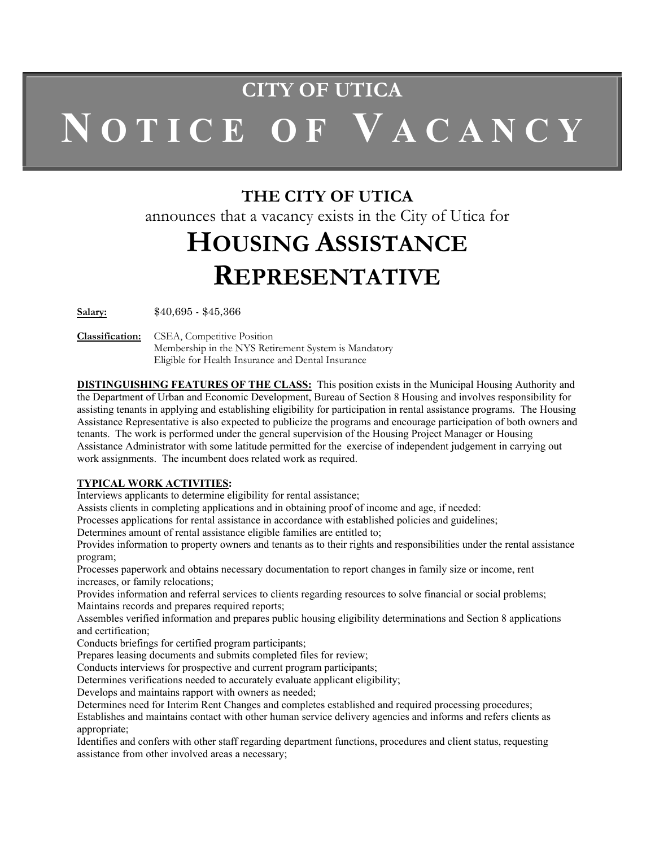# **CITY OF UTICA N O T I C E O F V A C A N C Y**

### **THE CITY OF UTICA**

announces that a vacancy exists in the City of Utica for

## **HOUSING ASSISTANCE REPRESENTATIVE**

**Salary:** \$40,695 - \$45,366

**Classification:** CSEA, Competitive Position Membership in the NYS Retirement System is Mandatory Eligible for Health Insurance and Dental Insurance

**DISTINGUISHING FEATURES OF THE CLASS:** This position exists in the Municipal Housing Authority and the Department of Urban and Economic Development, Bureau of Section 8 Housing and involves responsibility for assisting tenants in applying and establishing eligibility for participation in rental assistance programs. The Housing Assistance Representative is also expected to publicize the programs and encourage participation of both owners and tenants. The work is performed under the general supervision of the Housing Project Manager or Housing Assistance Administrator with some latitude permitted for the exercise of independent judgement in carrying out work assignments. The incumbent does related work as required.

#### **TYPICAL WORK ACTIVITIES:**

Interviews applicants to determine eligibility for rental assistance;

Assists clients in completing applications and in obtaining proof of income and age, if needed:

Processes applications for rental assistance in accordance with established policies and guidelines;

Determines amount of rental assistance eligible families are entitled to;

Provides information to property owners and tenants as to their rights and responsibilities under the rental assistance program;

Processes paperwork and obtains necessary documentation to report changes in family size or income, rent increases, or family relocations;

Provides information and referral services to clients regarding resources to solve financial or social problems; Maintains records and prepares required reports;

Assembles verified information and prepares public housing eligibility determinations and Section 8 applications and certification;

Conducts briefings for certified program participants;

Prepares leasing documents and submits completed files for review;

Conducts interviews for prospective and current program participants;

Determines verifications needed to accurately evaluate applicant eligibility;

Develops and maintains rapport with owners as needed;

Determines need for Interim Rent Changes and completes established and required processing procedures;

Establishes and maintains contact with other human service delivery agencies and informs and refers clients as appropriate;

Identifies and confers with other staff regarding department functions, procedures and client status, requesting assistance from other involved areas a necessary;